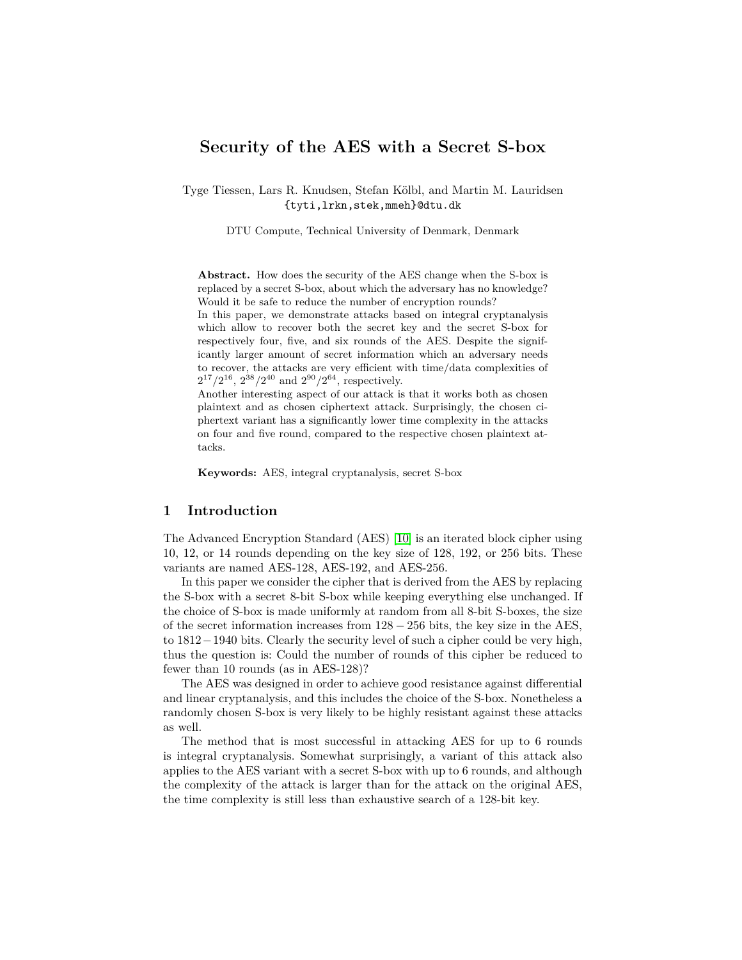# **Security of the AES with a Secret S-box**

Tyge Tiessen, Lars R. Knudsen, Stefan Kölbl, and Martin M. Lauridsen {tyti,lrkn,stek,mmeh}@dtu.dk

DTU Compute, Technical University of Denmark, Denmark

**Abstract.** How does the security of the AES change when the S-box is replaced by a secret S-box, about which the adversary has no knowledge? Would it be safe to reduce the number of encryption rounds?

In this paper, we demonstrate attacks based on integral cryptanalysis which allow to recover both the secret key and the secret S-box for respectively four, five, and six rounds of the AES. Despite the significantly larger amount of secret information which an adversary needs to recover, the attacks are very efficient with time/data complexities of  $2^{17}/2^{16}$ ,  $2^{38}/2^{40}$  and  $2^{90}/2^{64}$ , respectively.

Another interesting aspect of our attack is that it works both as chosen plaintext and as chosen ciphertext attack. Surprisingly, the chosen ciphertext variant has a significantly lower time complexity in the attacks on four and five round, compared to the respective chosen plaintext attacks.

**Keywords:** AES, integral cryptanalysis, secret S-box

## **1 Introduction**

The Advanced Encryption Standard (AES) [\[10\]](#page-13-0) is an iterated block cipher using 10, 12, or 14 rounds depending on the key size of 128, 192, or 256 bits. These variants are named AES-128, AES-192, and AES-256.

In this paper we consider the cipher that is derived from the AES by replacing the S-box with a secret 8-bit S-box while keeping everything else unchanged. If the choice of S-box is made uniformly at random from all 8-bit S-boxes, the size of the secret information increases from  $128 - 256$  bits, the key size in the AES, to 1812−1940 bits. Clearly the security level of such a cipher could be very high, thus the question is: Could the number of rounds of this cipher be reduced to fewer than 10 rounds (as in AES-128)?

The AES was designed in order to achieve good resistance against differential and linear cryptanalysis, and this includes the choice of the S-box. Nonetheless a randomly chosen S-box is very likely to be highly resistant against these attacks as well.

The method that is most successful in attacking AES for up to 6 rounds is integral cryptanalysis. Somewhat surprisingly, a variant of this attack also applies to the AES variant with a secret S-box with up to 6 rounds, and although the complexity of the attack is larger than for the attack on the original AES, the time complexity is still less than exhaustive search of a 128-bit key.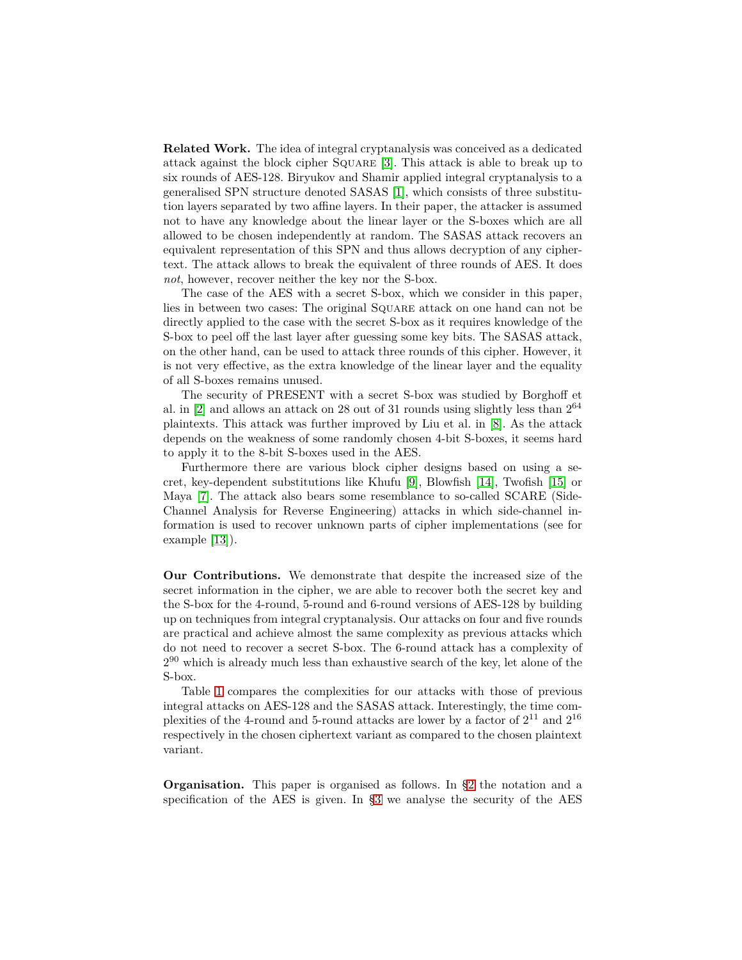**Related Work.** The idea of integral cryptanalysis was conceived as a dedicated attack against the block cipher Square [\[3\]](#page-12-0). This attack is able to break up to six rounds of AES-128. Biryukov and Shamir applied integral cryptanalysis to a generalised SPN structure denoted SASAS [\[1\]](#page-12-1), which consists of three substitution layers separated by two affine layers. In their paper, the attacker is assumed not to have any knowledge about the linear layer or the S-boxes which are all allowed to be chosen independently at random. The SASAS attack recovers an equivalent representation of this SPN and thus allows decryption of any ciphertext. The attack allows to break the equivalent of three rounds of AES. It does *not*, however, recover neither the key nor the S-box.

The case of the AES with a secret S-box, which we consider in this paper, lies in between two cases: The original Square attack on one hand can not be directly applied to the case with the secret S-box as it requires knowledge of the S-box to peel off the last layer after guessing some key bits. The SASAS attack, on the other hand, can be used to attack three rounds of this cipher. However, it is not very effective, as the extra knowledge of the linear layer and the equality of all S-boxes remains unused.

The security of PRESENT with a secret S-box was studied by Borghoff et al. in  $[2]$  and allows an attack on 28 out of 31 rounds using slightly less than  $2^{64}$ plaintexts. This attack was further improved by Liu et al. in [\[8\]](#page-13-1). As the attack depends on the weakness of some randomly chosen 4-bit S-boxes, it seems hard to apply it to the 8-bit S-boxes used in the AES.

Furthermore there are various block cipher designs based on using a secret, key-dependent substitutions like Khufu [\[9\]](#page-13-2), Blowfish [\[14\]](#page-13-3), Twofish [\[15\]](#page-13-4) or Maya [\[7\]](#page-13-5). The attack also bears some resemblance to so-called SCARE (Side-Channel Analysis for Reverse Engineering) attacks in which side-channel information is used to recover unknown parts of cipher implementations (see for example [\[13\]](#page-13-6)).

**Our Contributions.** We demonstrate that despite the increased size of the secret information in the cipher, we are able to recover both the secret key and the S-box for the 4-round, 5-round and 6-round versions of AES-128 by building up on techniques from integral cryptanalysis. Our attacks on four and five rounds are practical and achieve almost the same complexity as previous attacks which do not need to recover a secret S-box. The 6-round attack has a complexity of  $2^{90}$  which is already much less than exhaustive search of the key, let alone of the S-box.

Table [1](#page-2-0) compares the complexities for our attacks with those of previous integral attacks on AES-128 and the SASAS attack. Interestingly, the time complexities of the 4-round and 5-round attacks are lower by a factor of  $2^{11}$  and  $2^{16}$ respectively in the chosen ciphertext variant as compared to the chosen plaintext variant.

**Organisation.** This paper is organised as follows. In [§2](#page-2-1) the notation and a specification of the AES is given. In [§3](#page-4-0) we analyse the security of the AES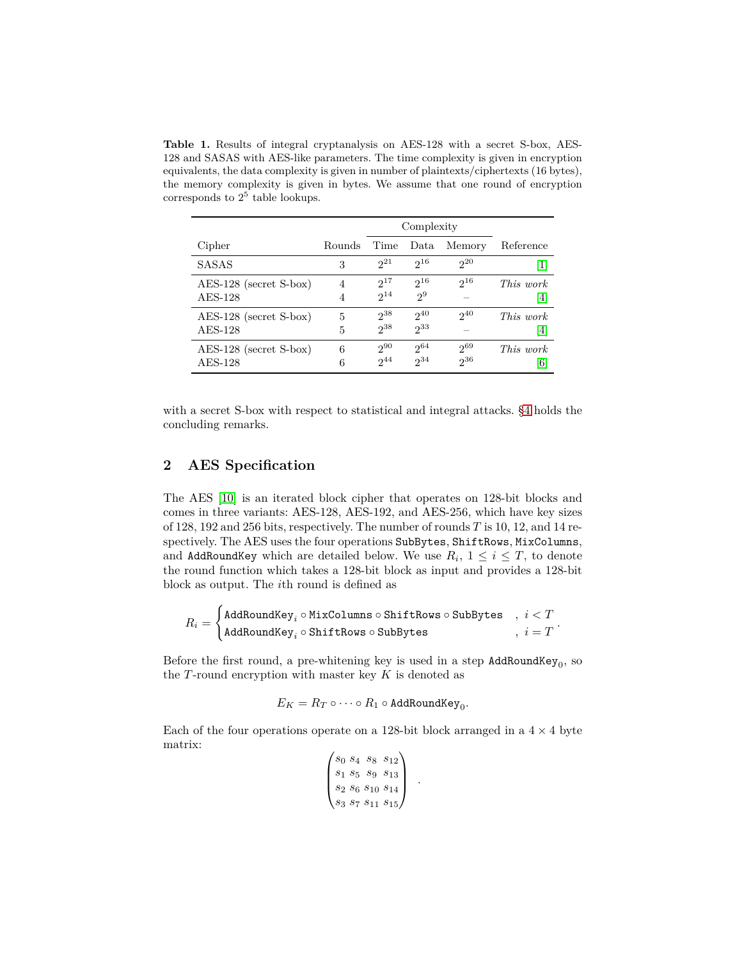<span id="page-2-0"></span>**Table 1.** Results of integral cryptanalysis on AES-128 with a secret S-box, AES-128 and SASAS with AES-like parameters. The time complexity is given in encryption equivalents, the data complexity is given in number of plaintexts/ciphertexts (16 bytes), the memory complexity is given in bytes. We assume that one round of encryption corresponds to  $2^5$  table lookups.

|                          |        | Complexity |          |          |                                                                                                                                                                                       |
|--------------------------|--------|------------|----------|----------|---------------------------------------------------------------------------------------------------------------------------------------------------------------------------------------|
| Cipher                   | Rounds | Time       | Data     | Memory   | Reference                                                                                                                                                                             |
| <b>SASAS</b>             | 3      | $2^{21}$   | $2^{16}$ | $2^{20}$ | $\left\lceil 1 \right\rceil$                                                                                                                                                          |
| $AES-128$ (secret S-box) | 4      | $2^{17}$   | $2^{16}$ | $2^{16}$ | This work                                                                                                                                                                             |
| AES-128                  | 4      | $2^{14}$   | $2^9$    |          | $[4] % \includegraphics[width=1\textwidth]{images/TrDiM-Architecture.png} \caption{The figure shows the results of the estimators in the left hand side.} \label{TrDiM-Architecture}$ |
| $AES-128$ (secret S-box) | 5      | $2^{38}$   | $2^{40}$ | $2^{40}$ | This work                                                                                                                                                                             |
| $AES-128$                | 5      | $2^{38}$   | $2^{33}$ |          | $\vert 4 \vert$                                                                                                                                                                       |
| $AES-128$ (secret S-box) | 6      | $2^{90}$   | $2^{64}$ | $2^{69}$ | This work                                                                                                                                                                             |
| $AES-128$                | 6      | $2^{44}$   | $2^{34}$ | $2^{36}$ | $\lvert 6 \rvert$                                                                                                                                                                     |

with a secret S-box with respect to statistical and integral attacks. [§4](#page-12-4) holds the concluding remarks.

## <span id="page-2-1"></span>**2 AES Specification**

The AES [\[10\]](#page-13-0) is an iterated block cipher that operates on 128-bit blocks and comes in three variants: AES-128, AES-192, and AES-256, which have key sizes of 128, 192 and 256 bits, respectively. The number of rounds *T* is 10, 12, and 14 respectively. The AES uses the four operations SubBytes, ShiftRows, MixColumns, and AddRoundKey which are detailed below. We use  $R_i$ ,  $1 \leq i \leq T$ , to denote the round function which takes a 128-bit block as input and provides a 128-bit block as output. The *i*th round is defined as

$$
R_i = \begin{cases} \texttt{AddRoundKey}_i \circ \texttt{MixColumns} \circ \texttt{ShiftRows} \circ \texttt{SubBytes} & , \; i < T \\ \texttt{AddRoundKey}_i \circ \texttt{ShiftRows} \circ \texttt{SubBytes} & , \; i = T \end{cases}.
$$

Before the first round, a pre-whitening key is used in a step  $\texttt{AddRoundKey}_0$ , so the *T*-round encryption with master key *K* is denoted as

$$
E_K = R_T \circ \cdot \cdot \cdot \circ R_1 \circ {\tt AddRoundKey}_0.
$$

Each of the four operations operate on a 128-bit block arranged in a  $4 \times 4$  byte matrix:  $\mathcal{L}_{\mathcal{L}}$ 

$$
\begin{pmatrix}\n s_0 & s_4 & s_8 & s_{12} \\
s_1 & s_5 & s_9 & s_{13} \\
s_2 & s_6 & s_{10} & s_{14} \\
s_3 & s_7 & s_{11} & s_{15}\n\end{pmatrix} .
$$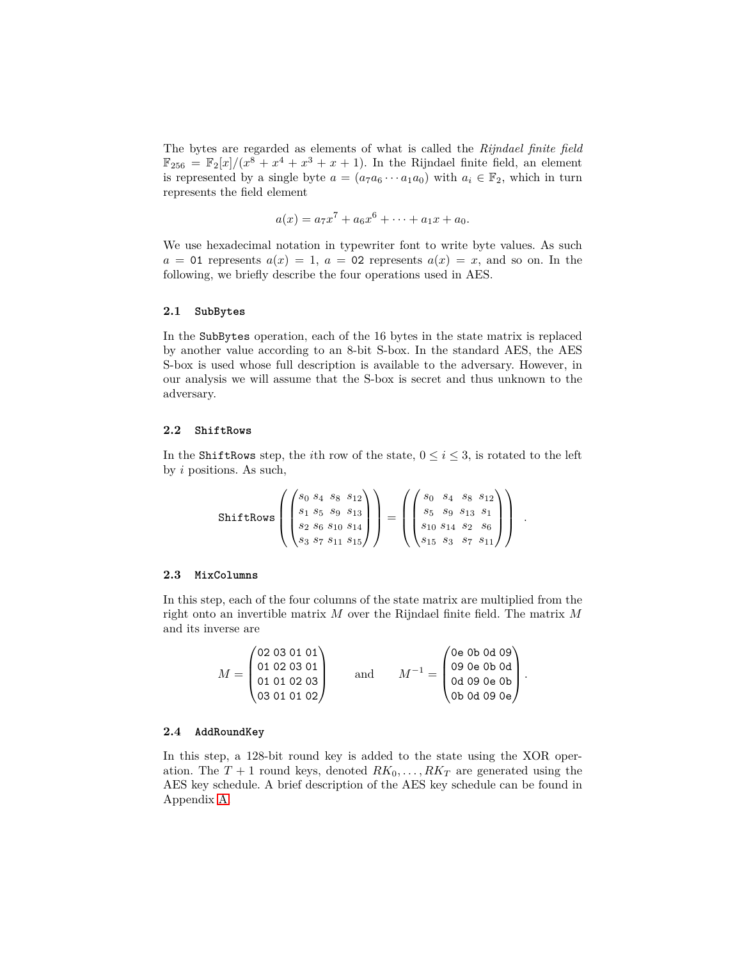The bytes are regarded as elements of what is called the *Rijndael finite field*  $\mathbb{F}_{256} = \mathbb{F}_{2}[x]/(x^{8} + x^{4} + x^{3} + x + 1)$ . In the Rijndael finite field, an element is represented by a single byte  $a = (a_7a_6 \cdots a_1a_0)$  with  $a_i \in \mathbb{F}_2$ , which in turn represents the field element

$$
a(x) = a_7x^7 + a_6x^6 + \cdots + a_1x + a_0.
$$

We use hexadecimal notation in typewriter font to write byte values. As such  $a = 01$  represents  $a(x) = 1$ ,  $a = 02$  represents  $a(x) = x$ , and so on. In the following, we briefly describe the four operations used in AES.

### **2.1 SubBytes**

In the SubBytes operation, each of the 16 bytes in the state matrix is replaced by another value according to an 8-bit S-box. In the standard AES, the AES S-box is used whose full description is available to the adversary. However, in our analysis we will assume that the S-box is secret and thus unknown to the adversary.

#### **2.2 ShiftRows**

In the ShiftRows step, the *i*th row of the state,  $0 \le i \le 3$ , is rotated to the left by *i* positions. As such,

$$
\text{ShiftRows}\left(\begin{pmatrix}s_0 s_4 & s_8 & s_{12} \\ s_1 s_5 & s_9 & s_{13} \\ s_2 s_6 & s_{10} s_{14} \\ s_3 & s_7 s_{11} s_{15} \end{pmatrix}\right) = \left(\begin{pmatrix}s_0 & s_4 & s_8 & s_{12} \\ s_5 & s_9 & s_{13} & s_1 \\ s_{10} s_{14} & s_2 & s_6 \\ s_{15} s_3 & s_7 & s_{11} \end{pmatrix}\right) \,.
$$

#### **2.3 MixColumns**

In this step, each of the four columns of the state matrix are multiplied from the right onto an invertible matrix *M* over the Rijndael finite field. The matrix *M* and its inverse are

|  | (02 03 01 01) |     |  | /0e 0b 0d 09 \       |  |
|--|---------------|-----|--|----------------------|--|
|  | 01 02 03 01   |     |  | 09 0e 0b 0d          |  |
|  | 01 01 02 03   | and |  | 0d 09 0e 0b          |  |
|  | \03 01 01 02/ |     |  | <b>\Ob 0d 09 0e/</b> |  |

### **2.4 AddRoundKey**

In this step, a 128-bit round key is added to the state using the XOR operation. The  $T + 1$  round keys, denoted  $RK_0, \ldots, RK_T$  are generated using the AES key schedule. A brief description of the AES key schedule can be found in Appendix [A.](#page-13-8)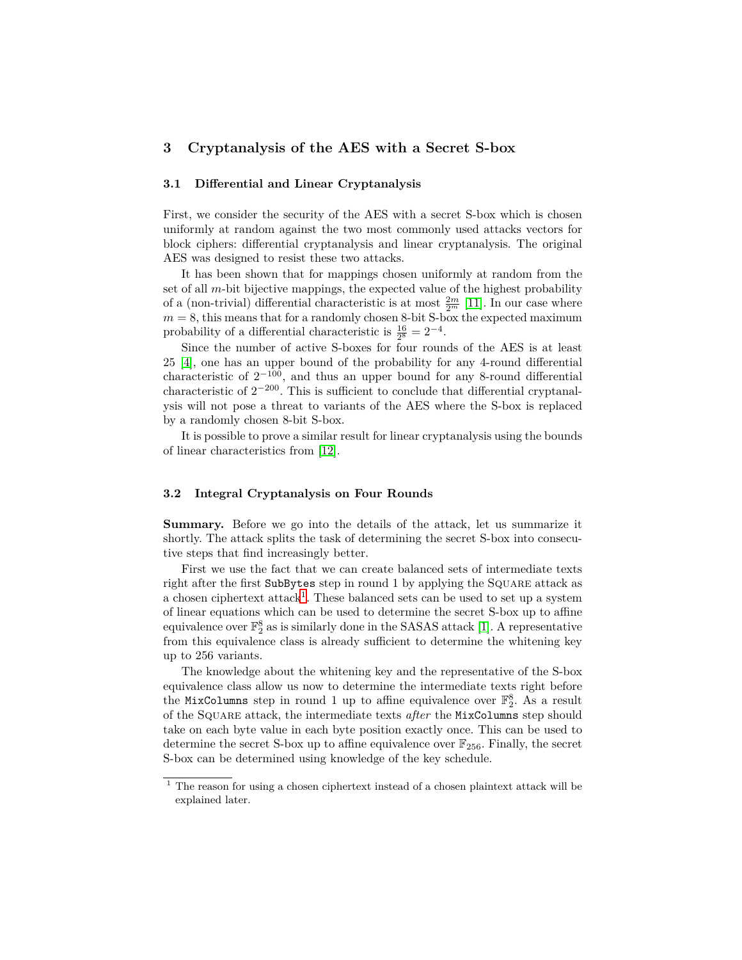## <span id="page-4-0"></span>**3 Cryptanalysis of the AES with a Secret S-box**

#### **3.1 Differential and Linear Cryptanalysis**

First, we consider the security of the AES with a secret S-box which is chosen uniformly at random against the two most commonly used attacks vectors for block ciphers: differential cryptanalysis and linear cryptanalysis. The original AES was designed to resist these two attacks.

It has been shown that for mappings chosen uniformly at random from the set of all *m*-bit bijective mappings, the expected value of the highest probability of a (non-trivial) differential characteristic is at most  $\frac{2m}{2m}$  [\[11\]](#page-13-9). In our case where  $m = 8$ , this means that for a randomly chosen 8-bit S-box the expected maximum probability of a differential characteristic is  $\frac{16}{2^8} = 2^{-4}$ .

Since the number of active S-boxes for four rounds of the AES is at least 25 [\[4\]](#page-12-3), one has an upper bound of the probability for any 4-round differential characteristic of  $2^{-100}$ , and thus an upper bound for any 8-round differential characteristic of 2<sup>−</sup><sup>200</sup>. This is sufficient to conclude that differential cryptanalysis will not pose a threat to variants of the AES where the S-box is replaced by a randomly chosen 8-bit S-box.

It is possible to prove a similar result for linear cryptanalysis using the bounds of linear characteristics from [\[12\]](#page-13-10).

## **3.2 Integral Cryptanalysis on Four Rounds**

**Summary.** Before we go into the details of the attack, let us summarize it shortly. The attack splits the task of determining the secret S-box into consecutive steps that find increasingly better.

First we use the fact that we can create balanced sets of intermediate texts right after the first SubBytes step in round 1 by applying the Square attack as a chosen ciphertext attack<sup>[1](#page-4-1)</sup>. These balanced sets can be used to set up a system of linear equations which can be used to determine the secret S-box up to affine equivalence over  $\mathbb{F}_2^8$  as is similarly done in the SASAS attack [\[1\]](#page-12-1). A representative from this equivalence class is already sufficient to determine the whitening key up to 256 variants.

The knowledge about the whitening key and the representative of the S-box equivalence class allow us now to determine the intermediate texts right before the MixColumns step in round 1 up to affine equivalence over  $\mathbb{F}_2^8$ . As a result of the Square attack, the intermediate texts *after* the MixColumns step should take on each byte value in each byte position exactly once. This can be used to determine the secret S-box up to affine equivalence over  $\mathbb{F}_{256}$ . Finally, the secret S-box can be determined using knowledge of the key schedule.

<span id="page-4-1"></span> $^{\rm 1}$  The reason for using a chosen ciphertext instead of a chosen plaintext attack will be explained later.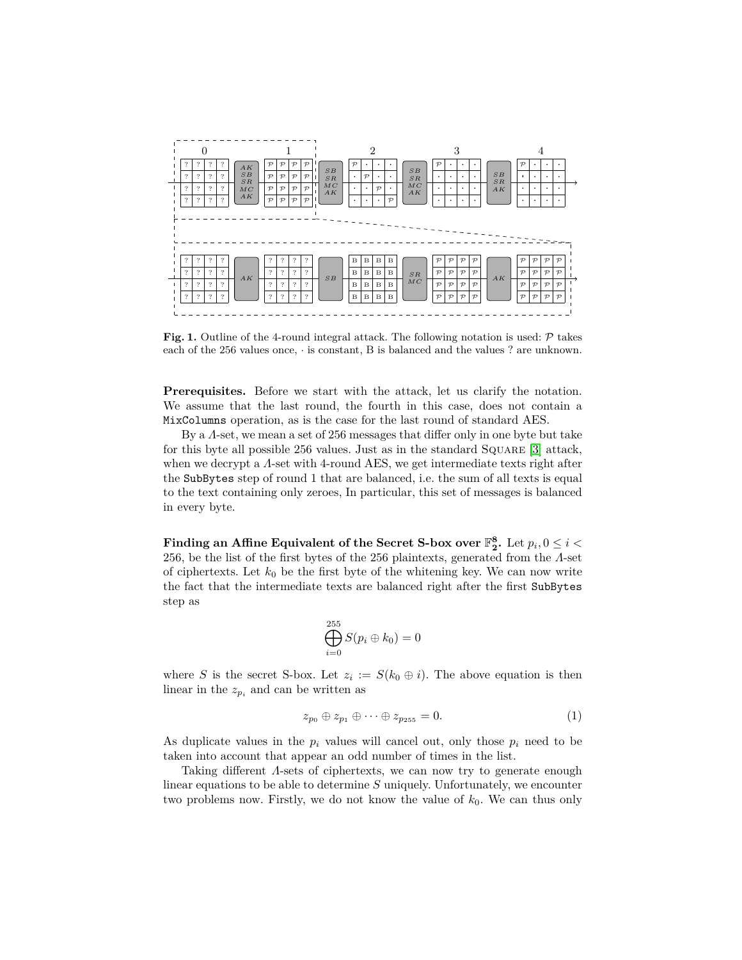

<span id="page-5-1"></span>**Fig. 1.** Outline of the 4-round integral attack. The following notation is used:  $\mathcal{P}$  takes each of the 256 values once, · is constant, B is balanced and the values ? are unknown.

**Prerequisites.** Before we start with the attack, let us clarify the notation. We assume that the last round, the fourth in this case, does not contain a MixColumns operation, as is the case for the last round of standard AES.

By a *Λ*-set, we mean a set of 256 messages that differ only in one byte but take for this byte all possible 256 values. Just as in the standard Square [\[3\]](#page-12-0) attack, when we decrypt a *Λ*-set with 4-round AES, we get intermediate texts right after the SubBytes step of round 1 that are balanced, i.e. the sum of all texts is equal to the text containing only zeroes, In particular, this set of messages is balanced in every byte.

Finding an Affine Equivalent of the Secret S-box over  $\mathbb{F}_2^8$ . Let  $p_i, 0 \leq i < 2$ 256, be the list of the first bytes of the 256 plaintexts, generated from the *Λ*-set of ciphertexts. Let  $k_0$  be the first byte of the whitening key. We can now write the fact that the intermediate texts are balanced right after the first SubBytes step as

<span id="page-5-0"></span>
$$
\bigoplus_{i=0}^{255} S(p_i \oplus k_0) = 0
$$

where *S* is the secret S-box. Let  $z_i := S(k_0 \oplus i)$ . The above equation is then linear in the  $z_{pi}$  and can be written as

$$
z_{p_0} \oplus z_{p_1} \oplus \cdots \oplus z_{p_{255}} = 0. \tag{1}
$$

As duplicate values in the  $p_i$  values will cancel out, only those  $p_i$  need to be taken into account that appear an odd number of times in the list.

Taking different *Λ*-sets of ciphertexts, we can now try to generate enough linear equations to be able to determine *S* uniquely. Unfortunately, we encounter two problems now. Firstly, we do not know the value of  $k_0$ . We can thus only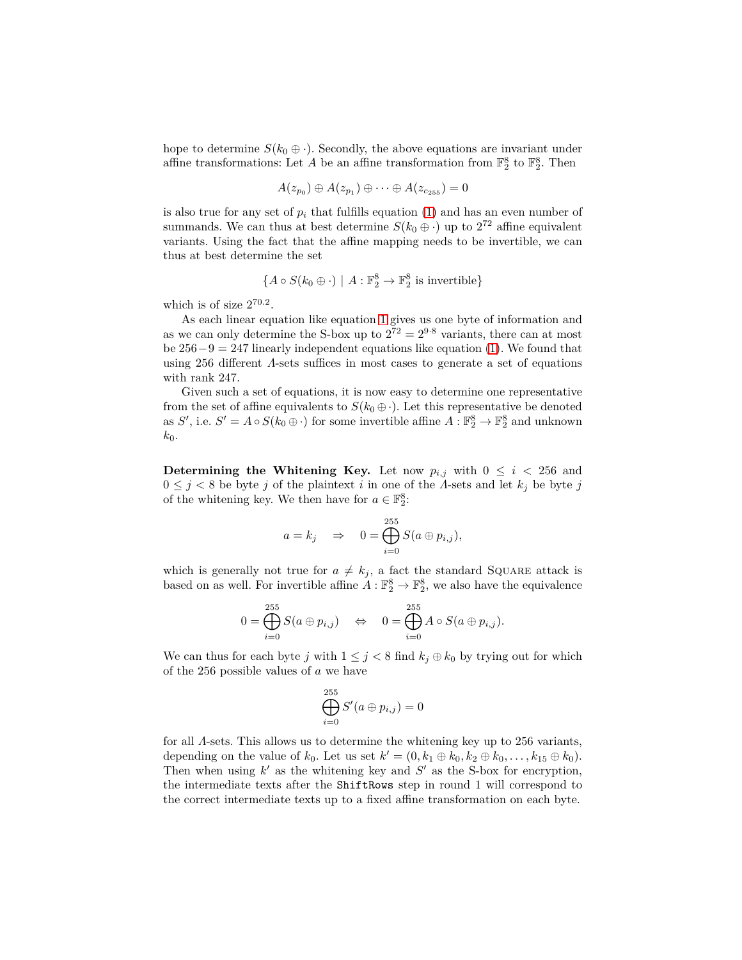hope to determine  $S(k_0 \oplus \cdot)$ . Secondly, the above equations are invariant under affine transformations: Let  $A$  be an affine transformation from  $\mathbb{F}_2^8$  to  $\mathbb{F}_2^8$ . Then

$$
A(z_{p_0})\oplus A(z_{p_1})\oplus \cdots \oplus A(z_{c_{255}})=0
$$

is also true for any set of  $p_i$  that fulfills equation  $(1)$  and has an even number of summands. We can thus at best determine  $S(k_0 \oplus \cdot)$  up to  $2^{72}$  affine equivalent variants. Using the fact that the affine mapping needs to be invertible, we can thus at best determine the set

$$
\{A \circ S(k_0 \oplus \cdot) \mid A : \mathbb{F}_2^8 \to \mathbb{F}_2^8 \text{ is invertible}\}\
$$

which is of size  $2^{70.2}$ .

As each linear equation like equation [1](#page-5-0) gives us one byte of information and as we can only determine the S-box up to  $2^{72} = 2^{9.8}$  variants, there can at most be  $256-9 = 247$  linearly independent equations like equation [\(1\)](#page-5-0). We found that using 256 different *Λ*-sets suffices in most cases to generate a set of equations with rank 247.

Given such a set of equations, it is now easy to determine one representative from the set of affine equivalents to  $S(k_0 \oplus \cdot)$ . Let this representative be denoted as *S'*, i.e.  $S' = A \circ S(k_0 \oplus \cdot)$  for some invertible affine  $A: \mathbb{F}_2^8 \to \mathbb{F}_2^8$  and unknown  $k_0$ .

**Determining the Whitening Key.** Let now  $p_{i,j}$  with  $0 \leq i \leq 256$  and  $0 \leq j < 8$  be byte *j* of the plaintext *i* in one of the *Λ*-sets and let  $k_j$  be byte *j* of the whitening key. We then have for  $a \in \mathbb{F}_2^8$ :

$$
a = k_j \quad \Rightarrow \quad 0 = \bigoplus_{i=0}^{255} S(a \oplus p_{i,j}),
$$

which is generally not true for  $a \neq k_j$ , a fact the standard SQUARE attack is based on as well. For invertible affine  $A: \mathbb{F}_2^8 \to \mathbb{F}_2^8$ , we also have the equivalence

$$
0 = \bigoplus_{i=0}^{255} S(a \oplus p_{i,j}) \quad \Leftrightarrow \quad 0 = \bigoplus_{i=0}^{255} A \circ S(a \oplus p_{i,j}).
$$

We can thus for each byte *j* with  $1 \leq j < 8$  find  $k_j \oplus k_0$  by trying out for which of the 256 possible values of *a* we have

$$
\bigoplus_{i=0}^{255} S'(a \oplus p_{i,j}) = 0
$$

for all *Λ*-sets. This allows us to determine the whitening key up to 256 variants, depending on the value of  $k_0$ . Let us set  $k' = (0, k_1 \oplus k_0, k_2 \oplus k_0, \ldots, k_{15} \oplus k_0)$ . Then when using  $k'$  as the whitening key and  $S'$  as the S-box for encryption, the intermediate texts after the ShiftRows step in round 1 will correspond to the correct intermediate texts up to a fixed affine transformation on each byte.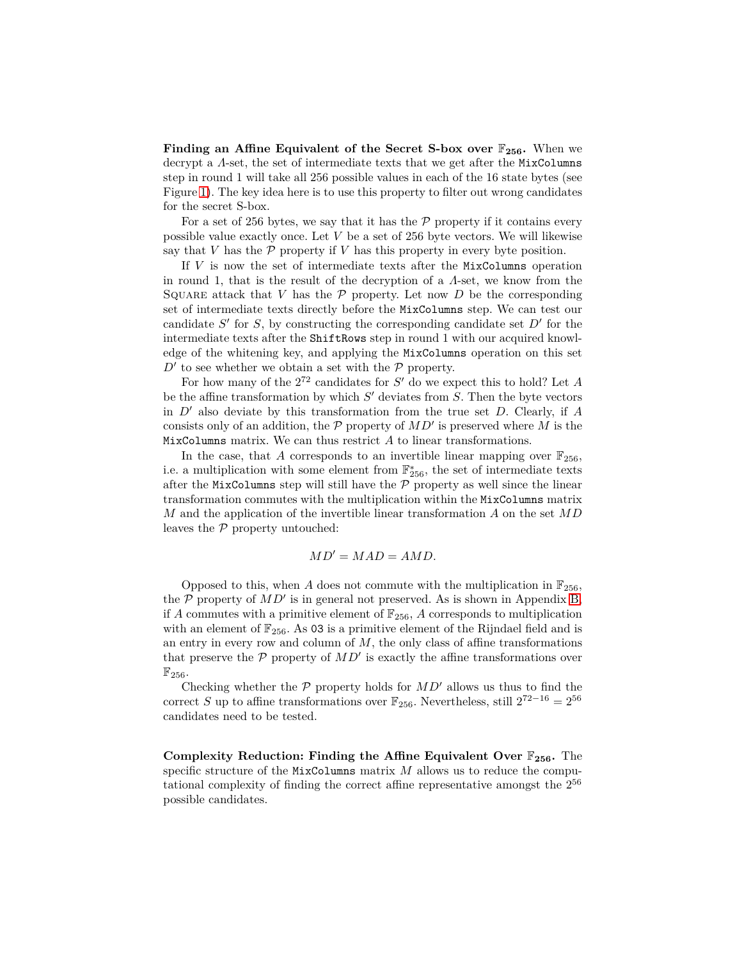**Finding an Affine Equivalent of the Secret S-box over** F**256.** When we decrypt a *Λ*-set, the set of intermediate texts that we get after the MixColumns step in round 1 will take all 256 possible values in each of the 16 state bytes (see Figure [1\)](#page-5-1). The key idea here is to use this property to filter out wrong candidates for the secret S-box.

For a set of 256 bytes, we say that it has the  $P$  property if it contains every possible value exactly once. Let *V* be a set of 256 byte vectors. We will likewise say that  $V$  has the  $\mathcal P$  property if  $V$  has this property in every byte position.

If *V* is now the set of intermediate texts after the MixColumns operation in round 1, that is the result of the decryption of a *Λ*-set, we know from the SQUARE attack that *V* has the  $P$  property. Let now  $D$  be the corresponding set of intermediate texts directly before the MixColumns step. We can test our candidate *S* ′ for *S*, by constructing the corresponding candidate set *D*′ for the intermediate texts after the ShiftRows step in round 1 with our acquired knowledge of the whitening key, and applying the MixColumns operation on this set  $D'$  to see whether we obtain a set with the  $P$  property.

For how many of the  $2^{72}$  candidates for *S'* do we expect this to hold? Let *A* be the affine transformation by which *S* ′ deviates from *S*. Then the byte vectors in *D*′ also deviate by this transformation from the true set *D*. Clearly, if *A* consists only of an addition, the  $P$  property of  $MD'$  is preserved where  $\tilde{M}$  is the MixColumns matrix. We can thus restrict *A* to linear transformations.

In the case, that *A* corresponds to an invertible linear mapping over  $\mathbb{F}_{256}$ , i.e. a multiplication with some element from  $\mathbb{F}_{256}^*$ , the set of intermediate texts after the MixColumns step will still have the  $\mathcal P$  property as well since the linear transformation commutes with the multiplication within the MixColumns matrix *M* and the application of the invertible linear transformation *A* on the set *MD* leaves the  $P$  property untouched:

$$
MD' = MAD = AMD.
$$

Opposed to this, when *A* does not commute with the multiplication in  $\mathbb{F}_{256}$ , the  $\overline{P}$  property of  $MD'$  is in general not preserved. As is shown in Appendix [B,](#page-14-0) if *A* commutes with a primitive element of  $\mathbb{F}_{256}$ , *A* corresponds to multiplication with an element of  $\mathbb{F}_{256}$ . As 03 is a primitive element of the Rijndael field and is an entry in every row and column of *M*, the only class of affine transformations that preserve the  $P$  property of  $MD'$  is exactly the affine transformations over  $\mathbb{F}_{256}$ .

Checking whether the  $P$  property holds for  $MD'$  allows us thus to find the correct *S* up to affine transformations over  $\mathbb{F}_{256}$ . Nevertheless, still  $2^{72-16} = 2^{56}$ candidates need to be tested.

**Complexity Reduction: Finding the Affine Equivalent Over** F**256.** The specific structure of the MixColumns matrix *M* allows us to reduce the computational complexity of finding the correct affine representative amongst the 2<sup>56</sup> possible candidates.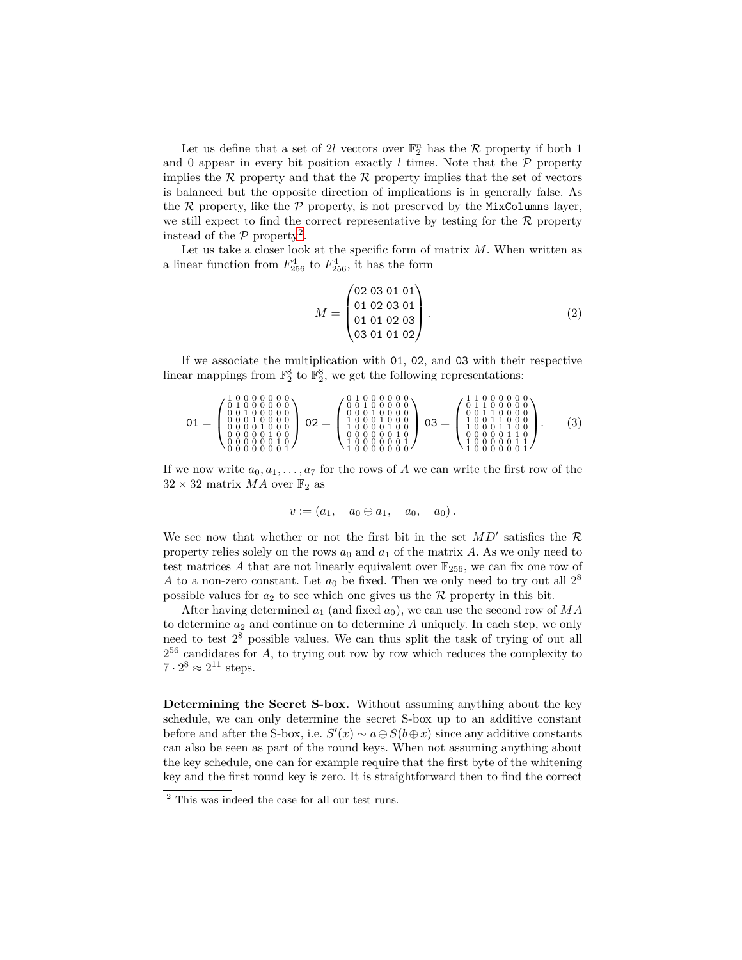Let us define that a set of 2l vectors over  $\mathbb{F}_2^n$  has the R property if both 1 and 0 appear in every bit position exactly  $l$  times. Note that the  $P$  property implies the  $R$  property and that the  $R$  property implies that the set of vectors is balanced but the opposite direction of implications is in generally false. As the  $R$  property, like the  $P$  property, is not preserved by the MixColumns layer, we still expect to find the correct representative by testing for the  $R$  property instead of the  $P$  property<sup>[2](#page-8-0)</sup>.

Let us take a closer look at the specific form of matrix *M*. When written as a linear function from  $F_{256}^4$  to  $F_{256}^4$ , it has the form

$$
M = \begin{pmatrix} 02 & 03 & 01 & 01 \\ 01 & 02 & 03 & 01 \\ 01 & 01 & 02 & 03 \\ 03 & 01 & 01 & 02 \end{pmatrix} . \tag{2}
$$

If we associate the multiplication with 01, 02, and 03 with their respective linear mappings from  $\mathbb{F}_2^8$  to  $\mathbb{F}_2^8$ , we get the following representations:

$$
01 = \begin{pmatrix} 1 & 0 & 0 & 0 & 0 & 0 & 0 \\ 0 & 1 & 0 & 0 & 0 & 0 & 0 & 0 \\ 0 & 0 & 1 & 0 & 0 & 0 & 0 & 0 \\ 0 & 0 & 0 & 1 & 0 & 0 & 0 & 0 \\ 0 & 0 & 0 & 0 & 1 & 0 & 0 & 0 \\ 0 & 0 & 0 & 0 & 0 & 1 & 0 & 0 \\ 0 & 0 & 0 & 0 & 0 & 0 & 1 & 0 \\ 0 & 0 & 0 & 0 & 0 & 0 & 1 & 0 \end{pmatrix} 02 = \begin{pmatrix} 0 & 1 & 0 & 0 & 0 & 0 & 0 & 0 \\ 0 & 0 & 1 & 0 & 0 & 0 & 0 & 0 \\ 1 & 0 & 0 & 0 & 1 & 0 & 0 & 0 \\ 1 & 0 & 0 & 0 & 1 & 0 & 0 & 0 \\ 1 & 0 & 0 & 0 & 0 & 0 & 1 & 0 \\ 1 & 0 & 0 & 0 & 0 & 0 & 0 & 1 \end{pmatrix} = \begin{pmatrix} 1 & 1 & 0 & 0 & 0 & 0 & 0 & 0 \\ 0 & 1 & 1 & 0 & 0 & 0 & 0 & 0 \\ 0 & 0 & 1 & 1 & 0 & 0 & 0 & 0 \\ 1 & 0 & 0 & 1 & 1 & 0 & 0 & 0 \\ 0 & 0 & 0 & 0 & 1 & 1 & 0 & 0 \\ 1 & 0 & 0 & 0 & 0 & 0 & 1 & 1 \end{pmatrix}. (3)
$$

If we now write  $a_0, a_1, \ldots, a_7$  for the rows of *A* we can write the first row of the  $32\times32$  matrix  $MA$  over  $\mathbb{F}_2$  as

$$
v := (a_1, a_0 \oplus a_1, a_0, a_0).
$$

We see now that whether or not the first bit in the set  $MD'$  satisfies the  $R$ property relies solely on the rows  $a_0$  and  $a_1$  of the matrix *A*. As we only need to test matrices A that are not linearly equivalent over  $\mathbb{F}_{256}$ , we can fix one row of *A* to a non-zero constant. Let  $a_0$  be fixed. Then we only need to try out all  $2^8$ possible values for  $a_2$  to see which one gives us the  $R$  property in this bit.

After having determined  $a_1$  (and fixed  $a_0$ ), we can use the second row of  $MA$ to determine  $a_2$  and continue on to determine  $A$  uniquely. In each step, we only need to test 2<sup>8</sup> possible values. We can thus split the task of trying of out all 2 <sup>56</sup> candidates for *A*, to trying out row by row which reduces the complexity to  $7 \cdot 2^8 \approx 2^{11}$  steps.

**Determining the Secret S-box.** Without assuming anything about the key schedule, we can only determine the secret S-box up to an additive constant before and after the S-box, i.e.  $S'(x) \sim a \oplus S(b \oplus x)$  since any additive constants can also be seen as part of the round keys. When not assuming anything about the key schedule, one can for example require that the first byte of the whitening key and the first round key is zero. It is straightforward then to find the correct

<span id="page-8-0"></span><sup>&</sup>lt;sup>2</sup> This was indeed the case for all our test runs.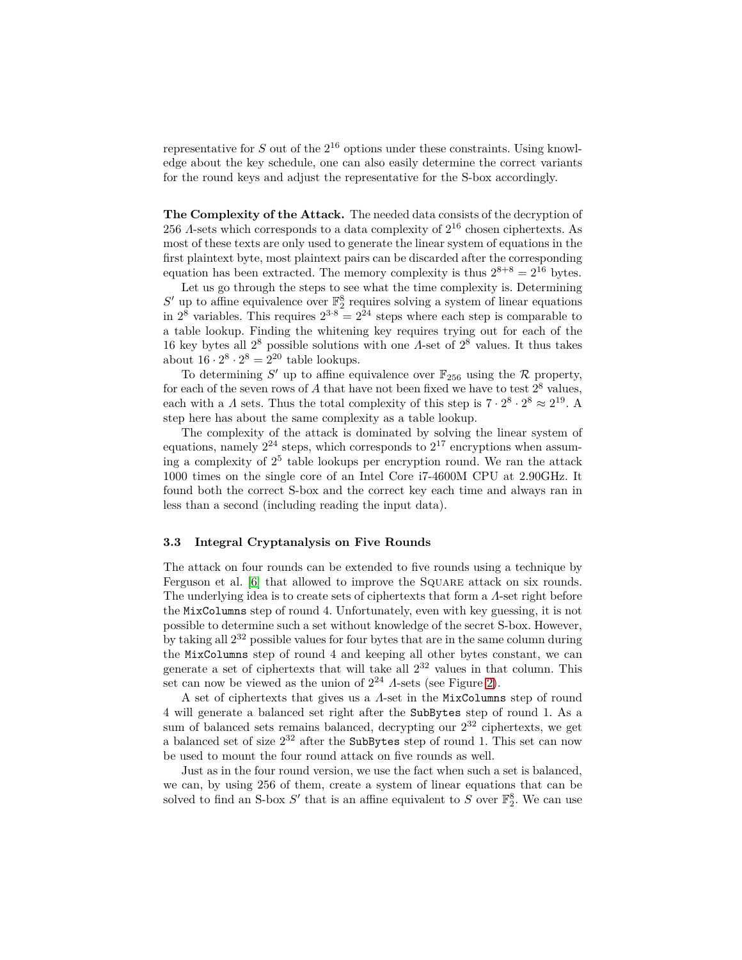representative for  $S$  out of the  $2^{16}$  options under these constraints. Using knowledge about the key schedule, one can also easily determine the correct variants for the round keys and adjust the representative for the S-box accordingly.

**The Complexity of the Attack.** The needed data consists of the decryption of 256 *Λ*-sets which corresponds to a data complexity of  $2^{16}$  chosen ciphertexts. As most of these texts are only used to generate the linear system of equations in the first plaintext byte, most plaintext pairs can be discarded after the corresponding equation has been extracted. The memory complexity is thus  $2^{8+8} = 2^{16}$  bytes.

Let us go through the steps to see what the time complexity is. Determining  $S'$  up to affine equivalence over  $\mathbb{F}_2^8$  requires solving a system of linear equations in  $2^8$  variables. This requires  $2^{3.8} = 2^{24}$  steps where each step is comparable to a table lookup. Finding the whitening key requires trying out for each of the 16 key bytes all 2<sup>8</sup> possible solutions with one *Λ*-set of 2<sup>8</sup> values. It thus takes about  $16 \cdot 2^8 \cdot 2^8 = 2^{20}$  table lookups.

To determining S' up to affine equivalence over  $\mathbb{F}_{256}$  using the R property, for each of the seven rows of  $A$  that have not been fixed we have to test  $2^8$  values, each with a *Λ* sets. Thus the total complexity of this step is  $7 \cdot 2^8 \cdot 2^8 \approx 2^{19}$ . A step here has about the same complexity as a table lookup.

The complexity of the attack is dominated by solving the linear system of equations, namely  $2^{24}$  steps, which corresponds to  $2^{17}$  encryptions when assuming a complexity of 2<sup>5</sup> table lookups per encryption round. We ran the attack 1000 times on the single core of an Intel Core i7-4600M CPU at 2.90GHz. It found both the correct S-box and the correct key each time and always ran in less than a second (including reading the input data).

#### **3.3 Integral Cryptanalysis on Five Rounds**

The attack on four rounds can be extended to five rounds using a technique by Ferguson et al. [\[6\]](#page-13-7) that allowed to improve the SQUARE attack on six rounds. The underlying idea is to create sets of ciphertexts that form a *Λ*-set right before the MixColumns step of round 4. Unfortunately, even with key guessing, it is not possible to determine such a set without knowledge of the secret S-box. However, by taking all 2<sup>32</sup> possible values for four bytes that are in the same column during the MixColumns step of round 4 and keeping all other bytes constant, we can generate a set of ciphertexts that will take all  $2^{32}$  values in that column. This set can now be viewed as the union of  $2^{24}$  *Λ*-sets (see Figure [2\)](#page-10-0).

A set of ciphertexts that gives us a *Λ*-set in the MixColumns step of round 4 will generate a balanced set right after the SubBytes step of round 1. As a sum of balanced sets remains balanced, decrypting our  $2^{32}$  ciphertexts, we get a balanced set of size  $2^{32}$  after the SubBytes step of round 1. This set can now be used to mount the four round attack on five rounds as well.

Just as in the four round version, we use the fact when such a set is balanced, we can, by using 256 of them, create a system of linear equations that can be solved to find an S-box  $S'$  that is an affine equivalent to  $S$  over  $\mathbb{F}_2^8$ . We can use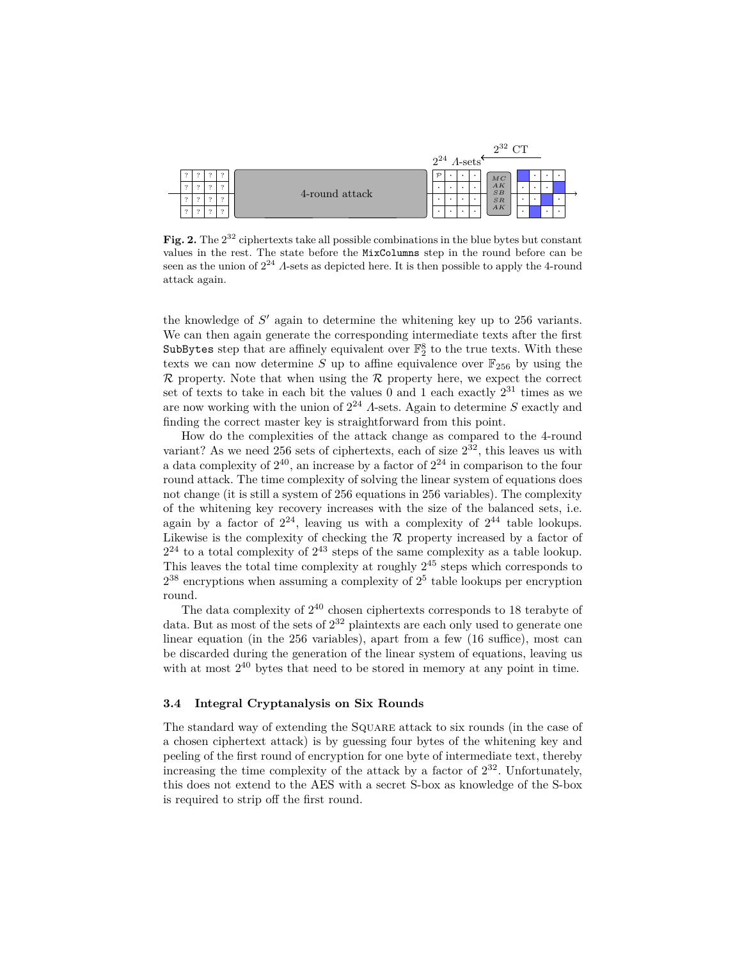

<span id="page-10-0"></span>Fig. 2. The  $2^{32}$  ciphertexts take all possible combinations in the blue bytes but constant values in the rest. The state before the MixColumns step in the round before can be seen as the union of  $2^{24}$  *Λ*-sets as depicted here. It is then possible to apply the 4-round attack again.

the knowledge of *S* ′ again to determine the whitening key up to 256 variants. We can then again generate the corresponding intermediate texts after the first SubBytes step that are affinely equivalent over  $\mathbb{F}_2^8$  to the true texts. With these texts we can now determine *S* up to affine equivalence over  $\mathbb{F}_{256}$  by using the  $\mathcal R$  property. Note that when using the  $\mathcal R$  property here, we expect the correct set of texts to take in each bit the values 0 and 1 each exactly  $2^{31}$  times as we are now working with the union of 2<sup>24</sup> *Λ*-sets. Again to determine *S* exactly and finding the correct master key is straightforward from this point.

How do the complexities of the attack change as compared to the 4-round variant? As we need 256 sets of ciphertexts, each of size  $2^{32}$ , this leaves us with a data complexity of  $2^{40}$ , an increase by a factor of  $2^{24}$  in comparison to the four round attack. The time complexity of solving the linear system of equations does not change (it is still a system of 256 equations in 256 variables). The complexity of the whitening key recovery increases with the size of the balanced sets, i.e. again by a factor of  $2^{24}$ , leaving us with a complexity of  $2^{44}$  table lookups. Likewise is the complexity of checking the  $R$  property increased by a factor of  $2^{24}$  to a total complexity of  $2^{43}$  steps of the same complexity as a table lookup. This leaves the total time complexity at roughly 2<sup>45</sup> steps which corresponds to  $2^{38}$  encryptions when assuming a complexity of  $2^5$  table lookups per encryption round.

The data complexity of  $2^{40}$  chosen ciphertexts corresponds to 18 terabyte of data. But as most of the sets of  $2^{32}$  plaintexts are each only used to generate one linear equation (in the 256 variables), apart from a few (16 suffice), most can be discarded during the generation of the linear system of equations, leaving us with at most  $2^{40}$  bytes that need to be stored in memory at any point in time.

#### **3.4 Integral Cryptanalysis on Six Rounds**

The standard way of extending the Square attack to six rounds (in the case of a chosen ciphertext attack) is by guessing four bytes of the whitening key and peeling of the first round of encryption for one byte of intermediate text, thereby increasing the time complexity of the attack by a factor of  $2^{32}$ . Unfortunately, this does not extend to the AES with a secret S-box as knowledge of the S-box is required to strip off the first round.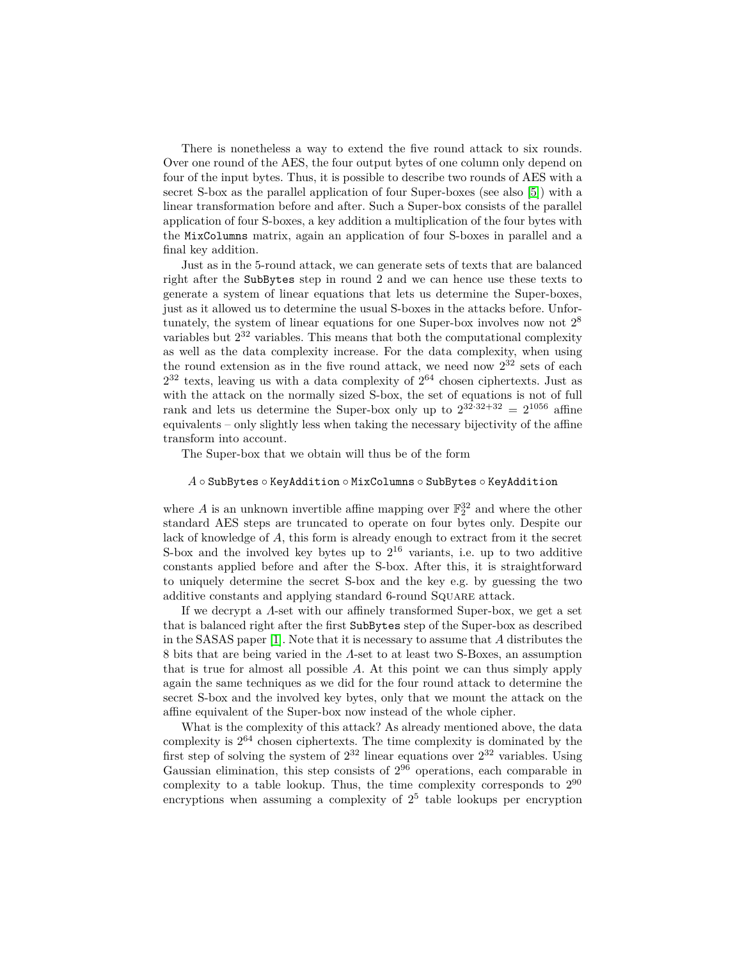There is nonetheless a way to extend the five round attack to six rounds. Over one round of the AES, the four output bytes of one column only depend on four of the input bytes. Thus, it is possible to describe two rounds of AES with a secret S-box as the parallel application of four Super-boxes (see also [\[5\]](#page-13-11)) with a linear transformation before and after. Such a Super-box consists of the parallel application of four S-boxes, a key addition a multiplication of the four bytes with the MixColumns matrix, again an application of four S-boxes in parallel and a final key addition.

Just as in the 5-round attack, we can generate sets of texts that are balanced right after the SubBytes step in round 2 and we can hence use these texts to generate a system of linear equations that lets us determine the Super-boxes, just as it allowed us to determine the usual S-boxes in the attacks before. Unfortunately, the system of linear equations for one Super-box involves now not  $2^8$ variables but  $2^{32}$  variables. This means that both the computational complexity as well as the data complexity increase. For the data complexity, when using the round extension as in the five round attack, we need now  $2^{32}$  sets of each  $2^{32}$  texts, leaving us with a data complexity of  $2^{64}$  chosen ciphertexts. Just as with the attack on the normally sized S-box, the set of equations is not of full rank and lets us determine the Super-box only up to  $2^{32\cdot32+32} = 2^{1056}$  affine equivalents – only slightly less when taking the necessary bijectivity of the affine transform into account.

The Super-box that we obtain will thus be of the form

### *A* ◦ SubBytes ◦ KeyAddition ◦ MixColumns ◦ SubBytes ◦ KeyAddition

where  $A$  is an unknown invertible affine mapping over  $\mathbb{F}_2^{32}$  and where the other standard AES steps are truncated to operate on four bytes only. Despite our lack of knowledge of *A*, this form is already enough to extract from it the secret S-box and the involved key bytes up to  $2^{16}$  variants, i.e. up to two additive constants applied before and after the S-box. After this, it is straightforward to uniquely determine the secret S-box and the key e.g. by guessing the two additive constants and applying standard 6-round Square attack.

If we decrypt a *Λ*-set with our affinely transformed Super-box, we get a set that is balanced right after the first SubBytes step of the Super-box as described in the SASAS paper [\[1\]](#page-12-1). Note that it is necessary to assume that *A* distributes the 8 bits that are being varied in the *Λ*-set to at least two S-Boxes, an assumption that is true for almost all possible *A*. At this point we can thus simply apply again the same techniques as we did for the four round attack to determine the secret S-box and the involved key bytes, only that we mount the attack on the affine equivalent of the Super-box now instead of the whole cipher.

What is the complexity of this attack? As already mentioned above, the data complexity is  $2^{64}$  chosen ciphertexts. The time complexity is dominated by the first step of solving the system of  $2^{32}$  linear equations over  $2^{32}$  variables. Using Gaussian elimination, this step consists of  $2^{96}$  operations, each comparable in complexity to a table lookup. Thus, the time complexity corresponds to  $2^{90}$ encryptions when assuming a complexity of  $2^5$  table lookups per encryption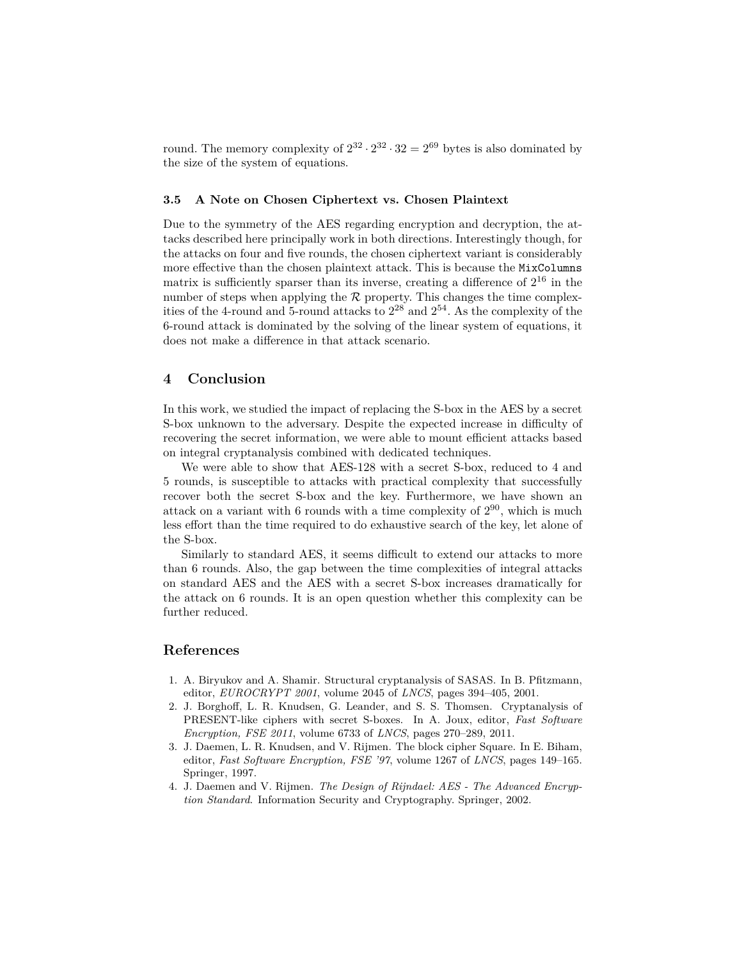round. The memory complexity of  $2^{32} \cdot 2^{32} \cdot 32 = 2^{69}$  bytes is also dominated by the size of the system of equations.

#### **3.5 A Note on Chosen Ciphertext vs. Chosen Plaintext**

Due to the symmetry of the AES regarding encryption and decryption, the attacks described here principally work in both directions. Interestingly though, for the attacks on four and five rounds, the chosen ciphertext variant is considerably more effective than the chosen plaintext attack. This is because the MixColumns matrix is sufficiently sparser than its inverse, creating a difference of  $2^{16}$  in the number of steps when applying the  $R$  property. This changes the time complexities of the 4-round and 5-round attacks to  $2^{28}$  and  $2^{54}$ . As the complexity of the 6-round attack is dominated by the solving of the linear system of equations, it does not make a difference in that attack scenario.

## <span id="page-12-4"></span>**4 Conclusion**

In this work, we studied the impact of replacing the S-box in the AES by a secret S-box unknown to the adversary. Despite the expected increase in difficulty of recovering the secret information, we were able to mount efficient attacks based on integral cryptanalysis combined with dedicated techniques.

We were able to show that AES-128 with a secret S-box, reduced to 4 and 5 rounds, is susceptible to attacks with practical complexity that successfully recover both the secret S-box and the key. Furthermore, we have shown an attack on a variant with 6 rounds with a time complexity of  $2^{90}$ , which is much less effort than the time required to do exhaustive search of the key, let alone of the S-box.

Similarly to standard AES, it seems difficult to extend our attacks to more than 6 rounds. Also, the gap between the time complexities of integral attacks on standard AES and the AES with a secret S-box increases dramatically for the attack on 6 rounds. It is an open question whether this complexity can be further reduced.

## **References**

- <span id="page-12-1"></span>1. A. Biryukov and A. Shamir. Structural cryptanalysis of SASAS. In B. Pfitzmann, editor, *EUROCRYPT 2001*, volume 2045 of *LNCS*, pages 394–405, 2001.
- <span id="page-12-2"></span>2. J. Borghoff, L. R. Knudsen, G. Leander, and S. S. Thomsen. Cryptanalysis of PRESENT-like ciphers with secret S-boxes. In A. Joux, editor, *Fast Software Encryption, FSE 2011*, volume 6733 of *LNCS*, pages 270–289, 2011.
- <span id="page-12-0"></span>3. J. Daemen, L. R. Knudsen, and V. Rijmen. The block cipher Square. In E. Biham, editor, *Fast Software Encryption, FSE '97*, volume 1267 of *LNCS*, pages 149–165. Springer, 1997.
- <span id="page-12-3"></span>4. J. Daemen and V. Rijmen. *The Design of Rijndael: AES - The Advanced Encryption Standard*. Information Security and Cryptography. Springer, 2002.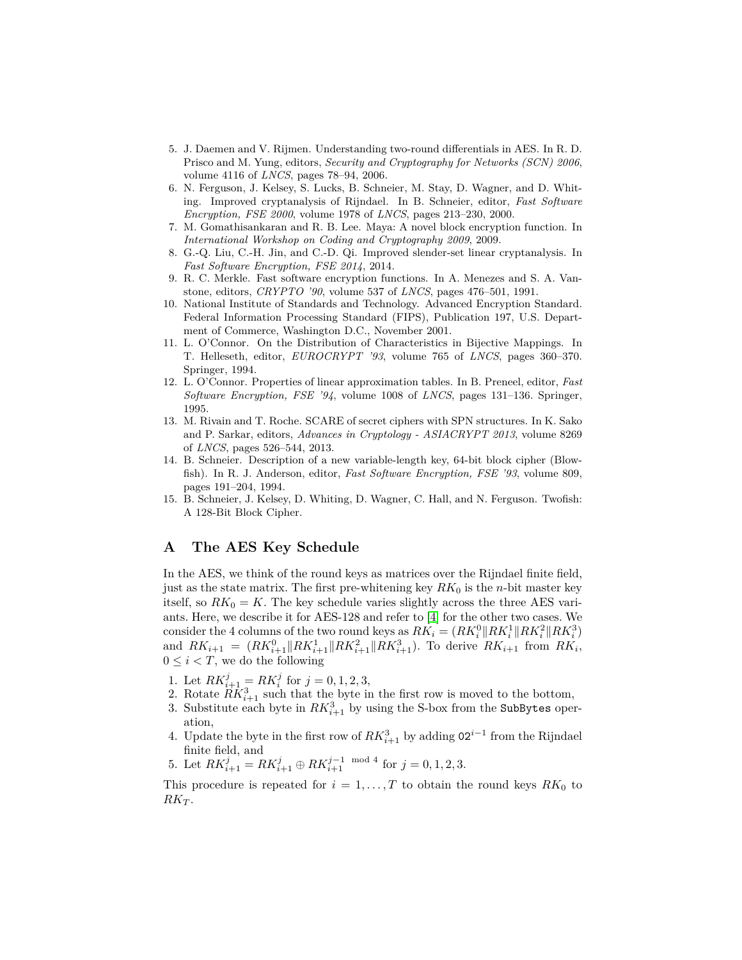- <span id="page-13-11"></span>5. J. Daemen and V. Rijmen. Understanding two-round differentials in AES. In R. D. Prisco and M. Yung, editors, *Security and Cryptography for Networks (SCN) 2006*, volume 4116 of *LNCS*, pages 78–94, 2006.
- <span id="page-13-7"></span>6. N. Ferguson, J. Kelsey, S. Lucks, B. Schneier, M. Stay, D. Wagner, and D. Whiting. Improved cryptanalysis of Rijndael. In B. Schneier, editor, *Fast Software Encryption, FSE 2000*, volume 1978 of *LNCS*, pages 213–230, 2000.
- <span id="page-13-5"></span><span id="page-13-1"></span>7. M. Gomathisankaran and R. B. Lee. Maya: A novel block encryption function. In *International Workshop on Coding and Cryptography 2009*, 2009.
- 8. G.-Q. Liu, C.-H. Jin, and C.-D. Qi. Improved slender-set linear cryptanalysis. In *Fast Software Encryption, FSE 2014*, 2014.
- <span id="page-13-2"></span>9. R. C. Merkle. Fast software encryption functions. In A. Menezes and S. A. Vanstone, editors, *CRYPTO '90*, volume 537 of *LNCS*, pages 476–501, 1991.
- <span id="page-13-0"></span>10. National Institute of Standards and Technology. Advanced Encryption Standard. Federal Information Processing Standard (FIPS), Publication 197, U.S. Department of Commerce, Washington D.C., November 2001.
- <span id="page-13-9"></span>11. L. O'Connor. On the Distribution of Characteristics in Bijective Mappings. In T. Helleseth, editor, *EUROCRYPT '93*, volume 765 of *LNCS*, pages 360–370. Springer, 1994.
- <span id="page-13-10"></span>12. L. O'Connor. Properties of linear approximation tables. In B. Preneel, editor, *Fast Software Encryption, FSE '94*, volume 1008 of *LNCS*, pages 131–136. Springer, 1995.
- <span id="page-13-6"></span>13. M. Rivain and T. Roche. SCARE of secret ciphers with SPN structures. In K. Sako and P. Sarkar, editors, *Advances in Cryptology - ASIACRYPT 2013*, volume 8269 of *LNCS*, pages 526–544, 2013.
- <span id="page-13-3"></span>14. B. Schneier. Description of a new variable-length key, 64-bit block cipher (Blowfish). In R. J. Anderson, editor, *Fast Software Encryption, FSE '93*, volume 809, pages 191–204, 1994.
- <span id="page-13-4"></span>15. B. Schneier, J. Kelsey, D. Whiting, D. Wagner, C. Hall, and N. Ferguson. Twofish: A 128-Bit Block Cipher.

## <span id="page-13-8"></span>**A The AES Key Schedule**

In the AES, we think of the round keys as matrices over the Rijndael finite field, just as the state matrix. The first pre-whitening key  $RK_0$  is the *n*-bit master key itself, so  $RK_0 = K$ . The key schedule varies slightly across the three AES variants. Here, we describe it for AES-128 and refer to [\[4\]](#page-12-3) for the other two cases. We consider the 4 columns of the two round keys as  $RK_i = (RK_i^0||RK_i^1||RK_i^2||RK_i^3)$ and  $RK_{i+1} = (RK_{i+1}^0 \| RK_{i+1}^1 \| RK_{i+1}^2 \| RK_{i+1}^3)$ . To derive  $RK_{i+1}$  from  $RK_i$ ,  $0 \leq i < T$ , we do the following

- 1. Let  $RK_{i+1}^j = RK_i^j$  for  $j = 0, 1, 2, 3$ ,
- 2. Rotate  $\ddot{R}\dot{K}_{i+1}^3$  such that the byte in the first row is moved to the bottom,
- 3. Substitute each byte in  $RK_{i+1}^3$  by using the S-box from the SubBytes operation,
- 4. Update the byte in the first row of  $RK_{i+1}^3$  by adding 02<sup>*i*-1</sup> from the Rijndael finite field, and
- 5. Let  $RK_{i+1}^j = RK_{i+1}^j \oplus RK_{i+1}^{j-1} \mod 4$  for  $j = 0, 1, 2, 3$ .

This procedure is repeated for  $i = 1, \ldots, T$  to obtain the round keys  $RK_0$  to  $RK_T$ .